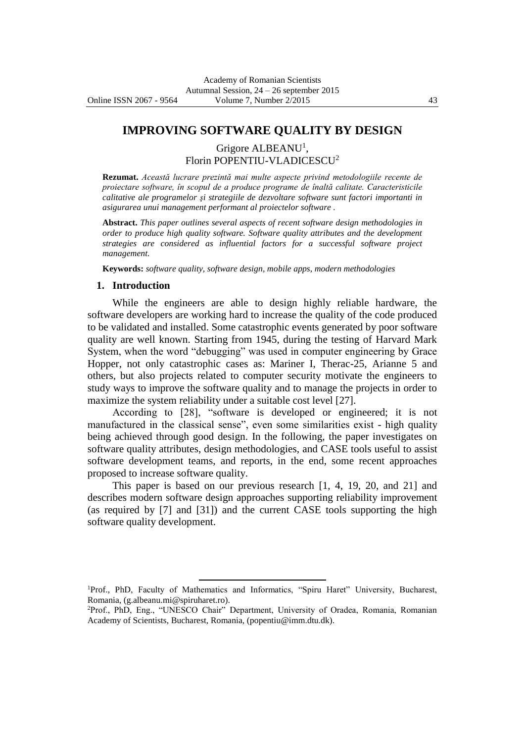## **IMPROVING SOFTWARE QUALITY BY DESIGN**

Grigore ALBEANU<sup>1</sup>, Florin POPENTIU-VLADICESCU<sup>2</sup>

**Rezumat.** *Această lucrare prezintă mai multe aspecte privind metodologiile recente de proiectare software, în scopul de a produce programe de înaltă calitate. Caracteristicile calitative ale programelor şi strategiile de dezvoltare software sunt factori importanti in asigurarea unui management performant al proiectelor software .*

**Abstract.** *This paper outlines several aspects of recent software design methodologies in order to produce high quality software. Software quality attributes and the development strategies are considered as influential factors for a successful software project management.*

**Keywords:** *software quality, software design, mobile apps, modern methodologies*

### **1. Introduction**

While the engineers are able to design highly reliable hardware, the software developers are working hard to increase the quality of the code produced to be validated and installed. Some catastrophic events generated by poor software quality are well known. Starting from 1945, during the testing of Harvard Mark System, when the word "debugging" was used in computer engineering by Grace Hopper, not only catastrophic cases as: Mariner I, Therac-25, Arianne 5 and others, but also projects related to computer security motivate the engineers to study ways to improve the software quality and to manage the projects in order to maximize the system reliability under a suitable cost level [27].

According to [28], "software is developed or engineered; it is not manufactured in the classical sense", even some similarities exist - high quality being achieved through good design. In the following, the paper investigates on software quality attributes, design methodologies, and CASE tools useful to assist software development teams, and reports, in the end, some recent approaches proposed to increase software quality.

This paper is based on our previous research [1, 4, 19, 20, and 21] and describes modern software design approaches supporting reliability improvement (as required by [7] and [31]) and the current CASE tools supporting the high software quality development.

<sup>1</sup>Prof., PhD, Faculty of Mathematics and Informatics, "Spiru Haret" University, Bucharest, Romania, (g.albeanu.mi@spiruharet.ro).

 $\overline{a}$ 

<sup>2</sup>Prof., PhD, Eng., "UNESCO Chair" Department, University of Oradea, Romania, Romanian Academy of Scientists, Bucharest, Romania, (popentiu@imm.dtu.dk).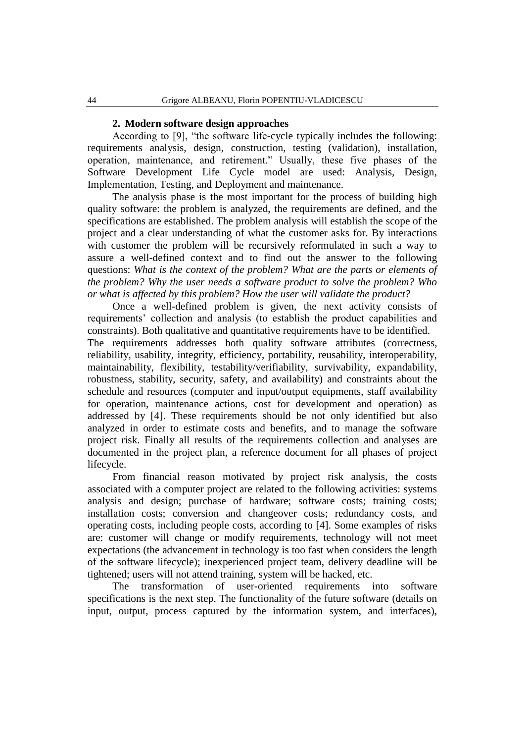#### **2. Modern software design approaches**

According to [9], "the software life-cycle typically includes the following: requirements analysis, design, construction, testing (validation), installation, operation, maintenance, and retirement." Usually, these five phases of the Software Development Life Cycle model are used: Analysis, Design, Implementation, Testing, and Deployment and maintenance.

The analysis phase is the most important for the process of building high quality software: the problem is analyzed, the requirements are defined, and the specifications are established. The problem analysis will establish the scope of the project and a clear understanding of what the customer asks for. By interactions with customer the problem will be recursively reformulated in such a way to assure a well-defined context and to find out the answer to the following questions: *What is the context of the problem? What are the parts or elements of the problem? Why the user needs a software product to solve the problem? Who or what is affected by this problem? How the user will validate the product?*

Once a well-defined problem is given, the next activity consists of requirements' collection and analysis (to establish the product capabilities and constraints). Both qualitative and quantitative requirements have to be identified.

The requirements addresses both quality software attributes (correctness, reliability, usability, integrity, efficiency, portability, reusability, interoperability, maintainability, flexibility, testability/verifiability, survivability, expandability, robustness, stability, security, safety, and availability) and constraints about the schedule and resources (computer and input/output equipments, staff availability for operation, maintenance actions, cost for development and operation) as addressed by [4]. These requirements should be not only identified but also analyzed in order to estimate costs and benefits, and to manage the software project risk. Finally all results of the requirements collection and analyses are documented in the project plan, a reference document for all phases of project lifecycle.

From financial reason motivated by project risk analysis, the costs associated with a computer project are related to the following activities: systems analysis and design; purchase of hardware; software costs; training costs; installation costs; conversion and changeover costs; redundancy costs, and operating costs, including people costs, according to [4]. Some examples of risks are: customer will change or modify requirements, technology will not meet expectations (the advancement in technology is too fast when considers the length of the software lifecycle); inexperienced project team, delivery deadline will be tightened; users will not attend training, system will be hacked, etc.

The transformation of user-oriented requirements into software specifications is the next step. The functionality of the future software (details on input, output, process captured by the information system, and interfaces),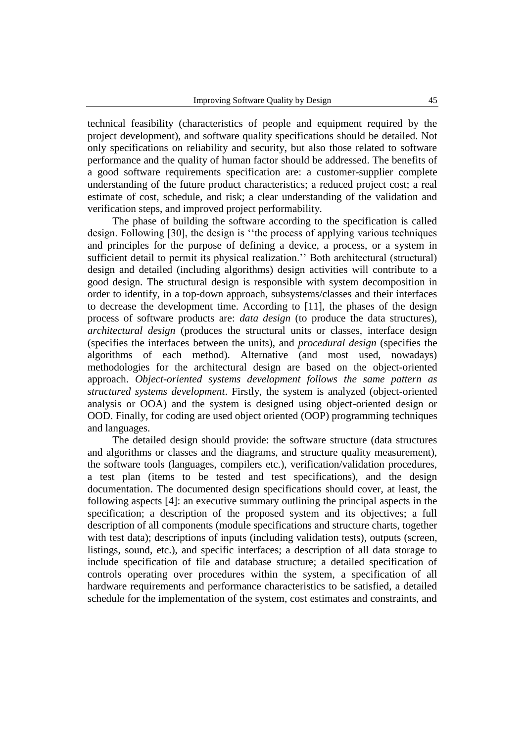technical feasibility (characteristics of people and equipment required by the project development), and software quality specifications should be detailed. Not only specifications on reliability and security, but also those related to software performance and the quality of human factor should be addressed. The benefits of a good software requirements specification are: a customer-supplier complete understanding of the future product characteristics; a reduced project cost; a real estimate of cost, schedule, and risk; a clear understanding of the validation and verification steps, and improved project performability.

The phase of building the software according to the specification is called design. Following [30], the design is ''the process of applying various techniques and principles for the purpose of defining a device, a process, or a system in sufficient detail to permit its physical realization.'' Both architectural (structural) design and detailed (including algorithms) design activities will contribute to a good design. The structural design is responsible with system decomposition in order to identify, in a top-down approach, subsystems/classes and their interfaces to decrease the development time. According to [11], the phases of the design process of software products are: *data design* (to produce the data structures), *architectural design* (produces the structural units or classes, interface design (specifies the interfaces between the units), and *procedural design* (specifies the algorithms of each method). Alternative (and most used, nowadays) methodologies for the architectural design are based on the object-oriented approach. *Object-oriented systems development follows the same pattern as structured systems development*. Firstly, the system is analyzed (object-oriented analysis or OOA) and the system is designed using object-oriented design or OOD. Finally, for coding are used object oriented (OOP) programming techniques and languages.

The detailed design should provide: the software structure (data structures and algorithms or classes and the diagrams, and structure quality measurement), the software tools (languages, compilers etc.), verification/validation procedures, a test plan (items to be tested and test specifications), and the design documentation. The documented design specifications should cover, at least, the following aspects [4]: an executive summary outlining the principal aspects in the specification; a description of the proposed system and its objectives; a full description of all components (module specifications and structure charts, together with test data); descriptions of inputs (including validation tests), outputs (screen, listings, sound, etc.), and specific interfaces; a description of all data storage to include specification of file and database structure; a detailed specification of controls operating over procedures within the system, a specification of all hardware requirements and performance characteristics to be satisfied, a detailed schedule for the implementation of the system, cost estimates and constraints, and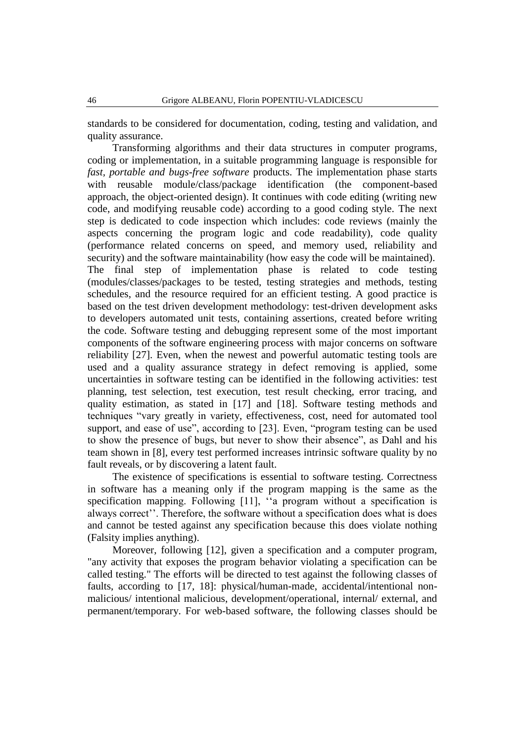standards to be considered for documentation, coding, testing and validation, and quality assurance.

Transforming algorithms and their data structures in computer programs, coding or implementation, in a suitable programming language is responsible for *fast, portable and bugs-free software* products. The implementation phase starts with reusable module/class/package identification (the component-based approach, the object-oriented design). It continues with code editing (writing new code, and modifying reusable code) according to a good coding style. The next step is dedicated to code inspection which includes: code reviews (mainly the aspects concerning the program logic and code readability), code quality (performance related concerns on speed, and memory used, reliability and security) and the software maintainability (how easy the code will be maintained). The final step of implementation phase is related to code testing (modules/classes/packages to be tested, testing strategies and methods, testing schedules, and the resource required for an efficient testing. A good practice is based on the test driven development methodology: test-driven development asks to developers automated unit tests, containing assertions, created before writing the code. Software testing and debugging represent some of the most important components of the software engineering process with major concerns on software reliability [27]. Even, when the newest and powerful automatic testing tools are used and a quality assurance strategy in defect removing is applied, some uncertainties in software testing can be identified in the following activities: test planning, test selection, test execution, test result checking, error tracing, and quality estimation, as stated in [17] and [18]. Software testing methods and techniques "vary greatly in variety, effectiveness, cost, need for automated tool support, and ease of use", according to [23]. Even, "program testing can be used to show the presence of bugs, but never to show their absence", as Dahl and his team shown in [8], every test performed increases intrinsic software quality by no fault reveals, or by discovering a latent fault.

The existence of specifications is essential to software testing. Correctness in software has a meaning only if the program mapping is the same as the specification mapping. Following [11], "a program without a specification is always correct''. Therefore, the software without a specification does what is does and cannot be tested against any specification because this does violate nothing (Falsity implies anything).

Moreover, following [12], given a specification and a computer program, "any activity that exposes the program behavior violating a specification can be called testing." The efforts will be directed to test against the following classes of faults, according to [17, 18]: physical/human-made, accidental/intentional nonmalicious/ intentional malicious, development/operational, internal/ external, and permanent/temporary. For web-based software, the following classes should be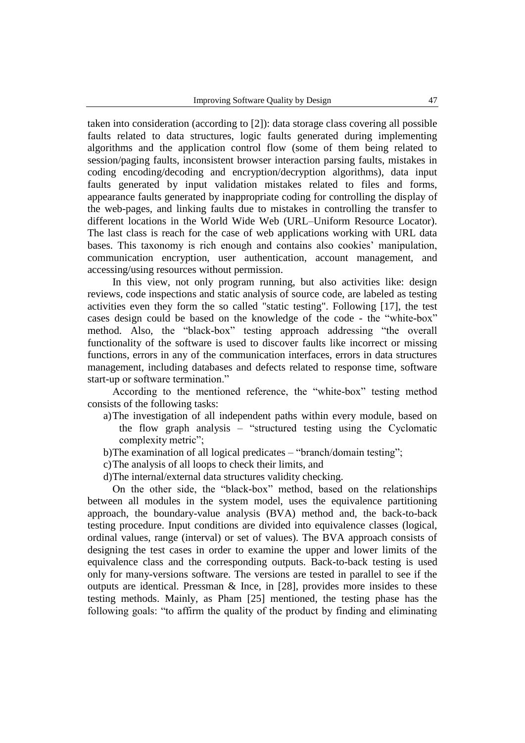taken into consideration (according to [2]): data storage class covering all possible faults related to data structures, logic faults generated during implementing algorithms and the application control flow (some of them being related to session/paging faults, inconsistent browser interaction parsing faults, mistakes in coding encoding/decoding and encryption/decryption algorithms), data input faults generated by input validation mistakes related to files and forms, appearance faults generated by inappropriate coding for controlling the display of the web-pages, and linking faults due to mistakes in controlling the transfer to different locations in the World Wide Web (URL–Uniform Resource Locator). The last class is reach for the case of web applications working with URL data bases. This taxonomy is rich enough and contains also cookies' manipulation, communication encryption, user authentication, account management, and accessing/using resources without permission.

In this view, not only program running, but also activities like: design reviews, code inspections and static analysis of source code, are labeled as testing activities even they form the so called "static testing". Following [17], the test cases design could be based on the knowledge of the code - the "white-box" method. Also, the "black-box" testing approach addressing "the overall functionality of the software is used to discover faults like incorrect or missing functions, errors in any of the communication interfaces, errors in data structures management, including databases and defects related to response time, software start-up or software termination."

According to the mentioned reference, the "white-box" testing method consists of the following tasks:

- a)The investigation of all independent paths within every module, based on the flow graph analysis – "structured testing using the Cyclomatic complexity metric";
- b)The examination of all logical predicates "branch/domain testing";
- c)The analysis of all loops to check their limits, and
- d)The internal/external data structures validity checking.

On the other side, the "black-box" method, based on the relationships between all modules in the system model, uses the equivalence partitioning approach, the boundary-value analysis (BVA) method and, the back-to-back testing procedure. Input conditions are divided into equivalence classes (logical, ordinal values, range (interval) or set of values). The BVA approach consists of designing the test cases in order to examine the upper and lower limits of the equivalence class and the corresponding outputs. Back-to-back testing is used only for many-versions software. The versions are tested in parallel to see if the outputs are identical. Pressman & Ince, in [28], provides more insides to these testing methods. Mainly, as Pham [25] mentioned, the testing phase has the following goals: "to affirm the quality of the product by finding and eliminating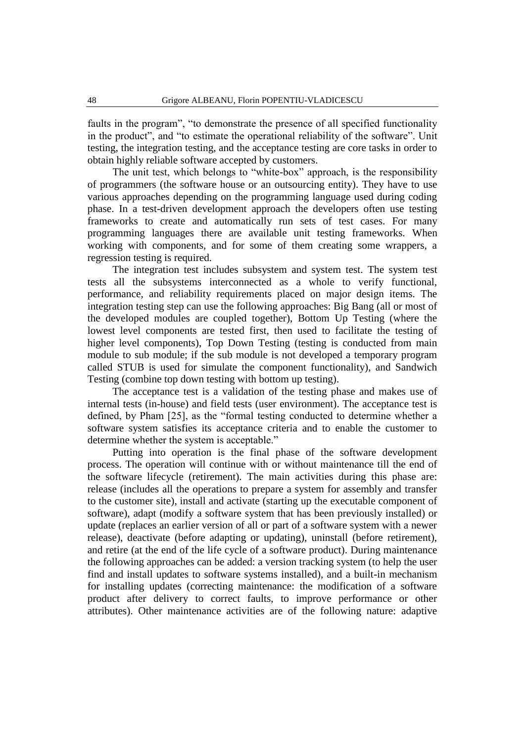faults in the program", "to demonstrate the presence of all specified functionality in the product", and "to estimate the operational reliability of the software". Unit testing, the integration testing, and the acceptance testing are core tasks in order to obtain highly reliable software accepted by customers.

The unit test, which belongs to "white-box" approach, is the responsibility of programmers (the software house or an outsourcing entity). They have to use various approaches depending on the programming language used during coding phase. In a test-driven development approach the developers often use testing frameworks to create and automatically run sets of test cases. For many programming languages there are available unit testing frameworks. When working with components, and for some of them creating some wrappers, a regression testing is required.

The integration test includes subsystem and system test. The system test tests all the subsystems interconnected as a whole to verify functional, performance, and reliability requirements placed on major design items. The integration testing step can use the following approaches: Big Bang (all or most of the developed modules are coupled together), Bottom Up Testing (where the lowest level components are tested first, then used to facilitate the testing of higher level components), Top Down Testing (testing is conducted from main module to sub module; if the sub module is not developed a temporary program called STUB is used for simulate the component functionality), and Sandwich Testing (combine top down testing with bottom up testing).

The acceptance test is a validation of the testing phase and makes use of internal tests (in-house) and field tests (user environment). The acceptance test is defined, by Pham [25], as the "formal testing conducted to determine whether a software system satisfies its acceptance criteria and to enable the customer to determine whether the system is acceptable."

Putting into operation is the final phase of the software development process. The operation will continue with or without maintenance till the end of the software lifecycle (retirement). The main activities during this phase are: release (includes all the operations to prepare a system for assembly and transfer to the customer site), install and activate (starting up the executable component of software), adapt (modify a software system that has been previously installed) or update (replaces an earlier version of all or part of a software system with a newer release), deactivate (before adapting or updating), uninstall (before retirement), and retire (at the end of the life cycle of a software product). During maintenance the following approaches can be added: a version tracking system (to help the user find and install updates to software systems installed), and a built-in mechanism for installing updates (correcting maintenance: the modification of a software product after delivery to correct faults, to improve performance or other attributes). Other maintenance activities are of the following nature: adaptive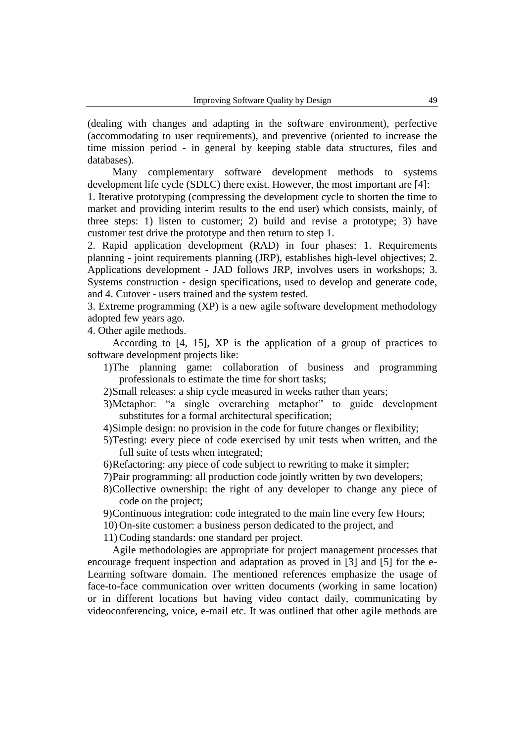(dealing with changes and adapting in the software environment), perfective (accommodating to user requirements), and preventive (oriented to increase the time mission period - in general by keeping stable data structures, files and databases).

Many complementary software development methods to systems development life cycle (SDLC) there exist. However, the most important are [4]:

1. Iterative prototyping (compressing the development cycle to shorten the time to market and providing interim results to the end user) which consists, mainly, of three steps: 1) listen to customer; 2) build and revise a prototype; 3) have customer test drive the prototype and then return to step 1.

2. Rapid application development (RAD) in four phases: 1. Requirements planning - joint requirements planning (JRP), establishes high-level objectives; 2. Applications development - JAD follows JRP, involves users in workshops; 3. Systems construction - design specifications, used to develop and generate code, and 4. Cutover - users trained and the system tested.

3. Extreme programming (XP) is a new agile software development methodology adopted few years ago.

4. Other agile methods.

According to [4, 15], XP is the application of a group of practices to software development projects like:

- 1)The planning game: collaboration of business and programming professionals to estimate the time for short tasks;
- 2)Small releases: a ship cycle measured in weeks rather than years;
- 3)Metaphor: "a single overarching metaphor" to guide development substitutes for a formal architectural specification;
- 4)Simple design: no provision in the code for future changes or flexibility;
- 5)Testing: every piece of code exercised by unit tests when written, and the full suite of tests when integrated;
- 6)Refactoring: any piece of code subject to rewriting to make it simpler;
- 7)Pair programming: all production code jointly written by two developers;
- 8)Collective ownership: the right of any developer to change any piece of code on the project;
- 9)Continuous integration: code integrated to the main line every few Hours;
- 10) On-site customer: a business person dedicated to the project, and

11) Coding standards: one standard per project.

Agile methodologies are appropriate for project management processes that encourage frequent inspection and adaptation as proved in [3] and [5] for the e-Learning software domain. The mentioned references emphasize the usage of face-to-face communication over written documents (working in same location) or in different locations but having video contact daily, communicating by videoconferencing, voice, e-mail etc. It was outlined that other agile methods are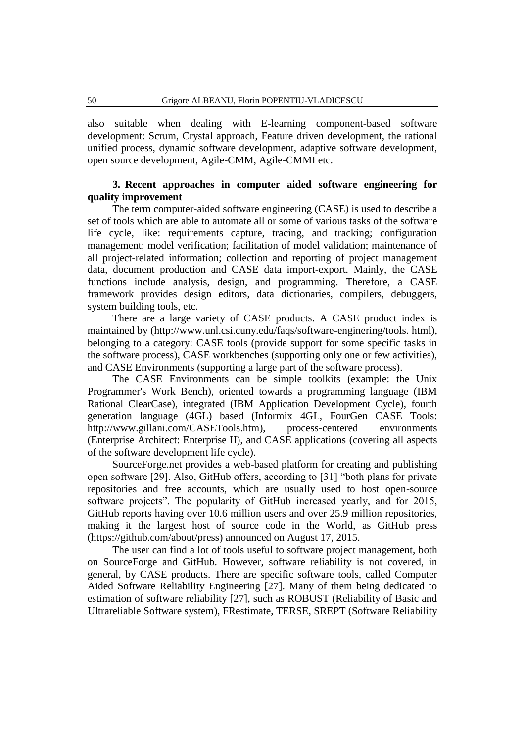also suitable when dealing with E-learning component-based software development: Scrum, Crystal approach, Feature driven development, the rational unified process, dynamic software development, adaptive software development, open source development, Agile-CMM, Agile-CMMI etc.

## **3. Recent approaches in computer aided software engineering for quality improvement**

The term computer-aided software engineering (CASE) is used to describe a set of tools which are able to automate all or some of various tasks of the software life cycle, like: requirements capture, tracing, and tracking; configuration management; model verification; facilitation of model validation; maintenance of all project-related information; collection and reporting of project management data, document production and CASE data import-export. Mainly, the CASE functions include analysis, design, and programming. Therefore, a CASE framework provides design editors, data dictionaries, compilers, debuggers, system building tools, etc.

There are a large variety of CASE products. A CASE product index is maintained by (http://www.unl.csi.cuny.edu/faqs/software-enginering/tools. html), belonging to a category: CASE tools (provide support for some specific tasks in the software process), CASE workbenches (supporting only one or few activities), and CASE Environments (supporting a large part of the software process).

The CASE Environments can be simple toolkits (example: the Unix Programmer's Work Bench), oriented towards a programming language (IBM Rational ClearCase), integrated (IBM Application Development Cycle), fourth generation language (4GL) based (Informix 4GL, FourGen CASE Tools: http://www.gillani.com/CASETools.htm), process-centered environments (Enterprise Architect: Enterprise II), and CASE applications (covering all aspects of the software development life cycle).

SourceForge.net provides a web-based platform for creating and publishing open software [29]. Also, GitHub offers, according to [31] "both plans for private repositories and free accounts, which are usually used to host open-source software projects". The popularity of GitHub increased yearly, and for 2015, GitHub reports having over 10.6 million users and over 25.9 million repositories, making it the largest host of source code in the World, as GitHub press (https://github.com/about/press) announced on August 17, 2015.

The user can find a lot of tools useful to software project management, both on SourceForge and GitHub. However, software reliability is not covered, in general, by CASE products. There are specific software tools, called Computer Aided Software Reliability Engineering [27]. Many of them being dedicated to estimation of software reliability [27], such as ROBUST (Reliability of Basic and Ultrareliable Software system), FRestimate, TERSE, SREPT (Software Reliability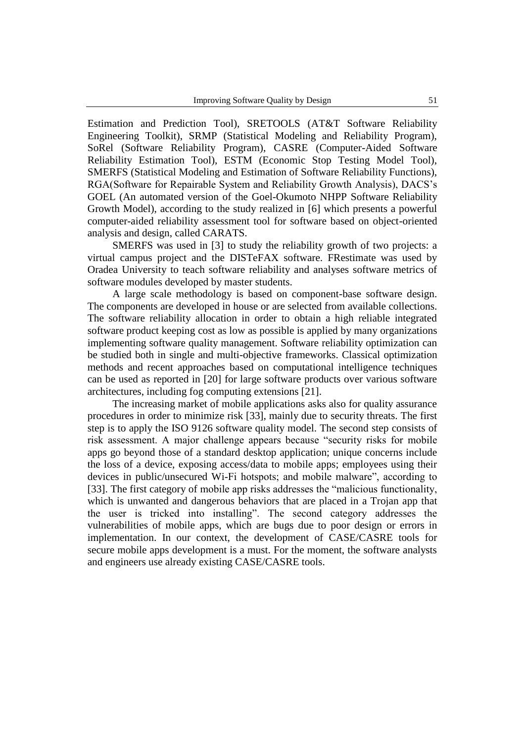Estimation and Prediction Tool), SRETOOLS (AT&T Software Reliability Engineering Toolkit), SRMP (Statistical Modeling and Reliability Program), SoRel (Software Reliability Program), CASRE (Computer-Aided Software Reliability Estimation Tool), ESTM (Economic Stop Testing Model Tool), SMERFS (Statistical Modeling and Estimation of Software Reliability Functions), RGA(Software for Repairable System and Reliability Growth Analysis), DACS's GOEL (An automated version of the Goel-Okumoto NHPP Software Reliability Growth Model), according to the study realized in [6] which presents a powerful computer-aided reliability assessment tool for software based on object-oriented analysis and design, called CARATS.

SMERFS was used in [3] to study the reliability growth of two projects: a virtual campus project and the DISTeFAX software. FRestimate was used by Oradea University to teach software reliability and analyses software metrics of software modules developed by master students.

A large scale methodology is based on component-base software design. The components are developed in house or are selected from available collections. The software reliability allocation in order to obtain a high reliable integrated software product keeping cost as low as possible is applied by many organizations implementing software quality management. Software reliability optimization can be studied both in single and multi-objective frameworks. Classical optimization methods and recent approaches based on computational intelligence techniques can be used as reported in [20] for large software products over various software architectures, including fog computing extensions [21].

The increasing market of mobile applications asks also for quality assurance procedures in order to minimize risk [33], mainly due to security threats. The first step is to apply the ISO 9126 software quality model. The second step consists of risk assessment. A major challenge appears because "security risks for mobile apps go beyond those of a standard desktop application; unique concerns include the loss of a device, exposing access/data to mobile apps; employees using their devices in public/unsecured Wi-Fi hotspots; and mobile malware", according to [33]. The first category of mobile app risks addresses the "malicious functionality, which is unwanted and dangerous behaviors that are placed in a Trojan app that the user is tricked into installing". The second category addresses the vulnerabilities of mobile apps, which are bugs due to poor design or errors in implementation. In our context, the development of CASE/CASRE tools for secure mobile apps development is a must. For the moment, the software analysts and engineers use already existing CASE/CASRE tools.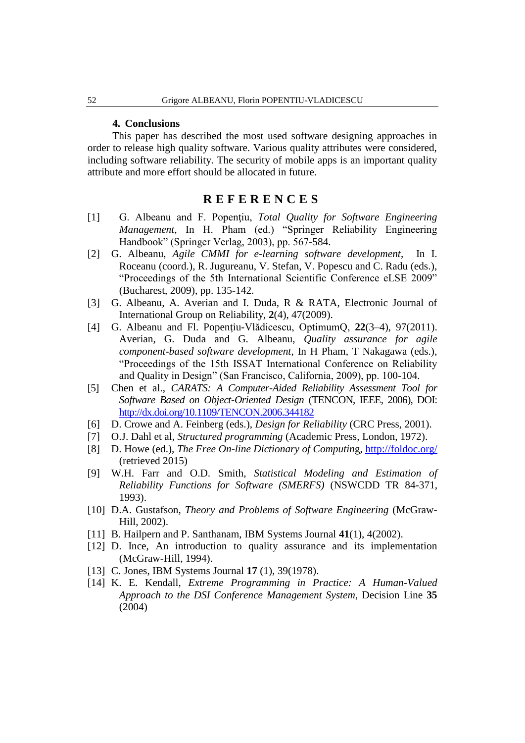### **4. Conclusions**

This paper has described the most used software designing approaches in order to release high quality software. Various quality attributes were considered, including software reliability. The security of mobile apps is an important quality attribute and more effort should be allocated in future.

# **R E F E R E N C E S**

- [1] G. Albeanu and F. Popenţiu, *Total Quality for Software Engineering Management*, In H. Pham (ed.) "Springer Reliability Engineering Handbook" (Springer Verlag, 2003), pp. 567-584.
- [2] G. Albeanu, *Agile CMMI for e-learning software development*, In I. Roceanu (coord.), R. Jugureanu, V. Stefan, V. Popescu and C. Radu (eds.), "Proceedings of the 5th International Scientific Conference eLSE 2009" (Bucharest, 2009), pp. 135-142.
- [3] G. Albeanu, A. Averian and I. Duda, R & RATA, Electronic Journal of International Group on Reliability, **2**(4), 47(2009).
- [4] G. Albeanu and Fl. Popenţiu-Vlădicescu, OptimumQ, **22**(3–4), 97(2011). Averian, G. Duda and G. Albeanu, *Quality assurance for agile component-based software development*, In H Pham, T Nakagawa (eds.), "Proceedings of the 15th ISSAT International Conference on Reliability and Quality in Design" (San Francisco, California, 2009), pp. 100-104.
- [5] Chen et al., *CARATS: A Computer-Aided Reliability Assessment Tool for Software Based on Object-Oriented Design* (TENCON, IEEE, 2006), DOI: <http://dx.doi.org/10.1109/TENCON.2006.344182>
- [6] D. Crowe and A. Feinberg (eds.), *Design for Reliability* (CRC Press, 2001).
- [7] O.J. Dahl et al, *Structured programming* (Academic Press, London, 1972).
- [8] D. Howe (ed.), *The Free On-line Dictionary of Computin*g,<http://foldoc.org/> (retrieved 2015)
- [9] W.H. Farr and O.D. Smith, *Statistical Modeling and Estimation of Reliability Functions for Software (SMERFS)* (NSWCDD TR 84-371, 1993).
- [10] D.A. Gustafson, *Theory and Problems of Software Engineering* (McGraw-Hill, 2002).
- [11] B. Hailpern and P. Santhanam, IBM Systems Journal **41**(1), 4(2002).
- [12] D. Ince, An introduction to quality assurance and its implementation (McGraw-Hill, 1994).
- [13] C. Jones, IBM Systems Journal **17** (1), 39(1978).
- [14] K. E. Kendall, *Extreme Programming in Practice: A Human-Valued Approach to the DSI Conference Management System*, Decision Line **35** (2004)